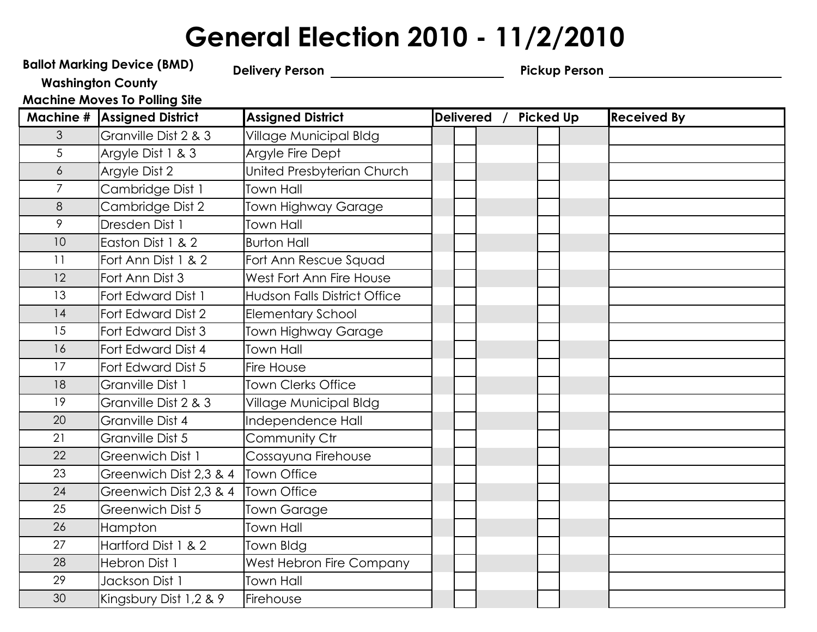## General Election 2010 - 11/2/2010

|                  | <b>Ballot Marking Device (BMD)</b>   |                                     |             |  |                  | Pickup Person ________ |  |                    |  |  |  |
|------------------|--------------------------------------|-------------------------------------|-------------|--|------------------|------------------------|--|--------------------|--|--|--|
|                  | <b>Washington County</b>             |                                     |             |  |                  |                        |  |                    |  |  |  |
|                  | <b>Machine Moves To Polling Site</b> |                                     |             |  |                  |                        |  |                    |  |  |  |
|                  | <b>Machine # Assigned District</b>   | <b>Assigned District</b>            | Delivered / |  | <b>Picked Up</b> |                        |  | <b>Received By</b> |  |  |  |
| 3                | Granville Dist 2 & 3                 | Village Municipal Bldg              |             |  |                  |                        |  |                    |  |  |  |
| 5                | Argyle Dist 1 & 3                    | Argyle Fire Dept                    |             |  |                  |                        |  |                    |  |  |  |
| $\boldsymbol{6}$ | Argyle Dist 2                        | United Presbyterian Church          |             |  |                  |                        |  |                    |  |  |  |
| $\overline{7}$   | Cambridge Dist 1                     | Town Hall                           |             |  |                  |                        |  |                    |  |  |  |
| 8                | Cambridge Dist 2                     | Town Highway Garage                 |             |  |                  |                        |  |                    |  |  |  |
| 9                | Dresden Dist 1                       | <b>Town Hall</b>                    |             |  |                  |                        |  |                    |  |  |  |
| 10 <sup>°</sup>  | Easton Dist 1 & 2                    | <b>Burton Hall</b>                  |             |  |                  |                        |  |                    |  |  |  |
| 11               | Fort Ann Dist 1 & 2                  | Fort Ann Rescue Squad               |             |  |                  |                        |  |                    |  |  |  |
| 12               | Fort Ann Dist 3                      | West Fort Ann Fire House            |             |  |                  |                        |  |                    |  |  |  |
| 13               | Fort Edward Dist 1                   | <b>Hudson Falls District Office</b> |             |  |                  |                        |  |                    |  |  |  |
| 14               | Fort Edward Dist 2                   | <b>Elementary School</b>            |             |  |                  |                        |  |                    |  |  |  |
| 15               | Fort Edward Dist 3                   | Town Highway Garage                 |             |  |                  |                        |  |                    |  |  |  |
| 16               | Fort Edward Dist 4                   | <b>Town Hall</b>                    |             |  |                  |                        |  |                    |  |  |  |
| 17               | Fort Edward Dist 5                   | Fire House                          |             |  |                  |                        |  |                    |  |  |  |
| 18               | Granville Dist 1                     | <b>Town Clerks Office</b>           |             |  |                  |                        |  |                    |  |  |  |
| 19               | Granville Dist 2 & 3                 | Village Municipal Bldg              |             |  |                  |                        |  |                    |  |  |  |
| 20               | Granville Dist 4                     | Independence Hall                   |             |  |                  |                        |  |                    |  |  |  |
| 21               | Granville Dist 5                     | Community Ctr                       |             |  |                  |                        |  |                    |  |  |  |
| 22               | Greenwich Dist 1                     | Cossayuna Firehouse                 |             |  |                  |                        |  |                    |  |  |  |
| 23               | Greenwich Dist 2,3 & 4               | <b>Town Office</b>                  |             |  |                  |                        |  |                    |  |  |  |
| 24               | Greenwich Dist 2,3 & 4               | <b>Town Office</b>                  |             |  |                  |                        |  |                    |  |  |  |
| 25               | Greenwich Dist 5                     | <b>Town Garage</b>                  |             |  |                  |                        |  |                    |  |  |  |
| 26               | Hampton                              | Town Hall                           |             |  |                  |                        |  |                    |  |  |  |
| 27               | Hartford Dist 1 & 2                  | Town Bldg                           |             |  |                  |                        |  |                    |  |  |  |
| 28               | Hebron Dist 1                        | West Hebron Fire Company            |             |  |                  |                        |  |                    |  |  |  |
| 29               | Jackson Dist 1                       | <b>Town Hall</b>                    |             |  |                  |                        |  |                    |  |  |  |
| 30               | Kingsbury Dist 1,2 & 9               | Firehouse                           |             |  |                  |                        |  |                    |  |  |  |